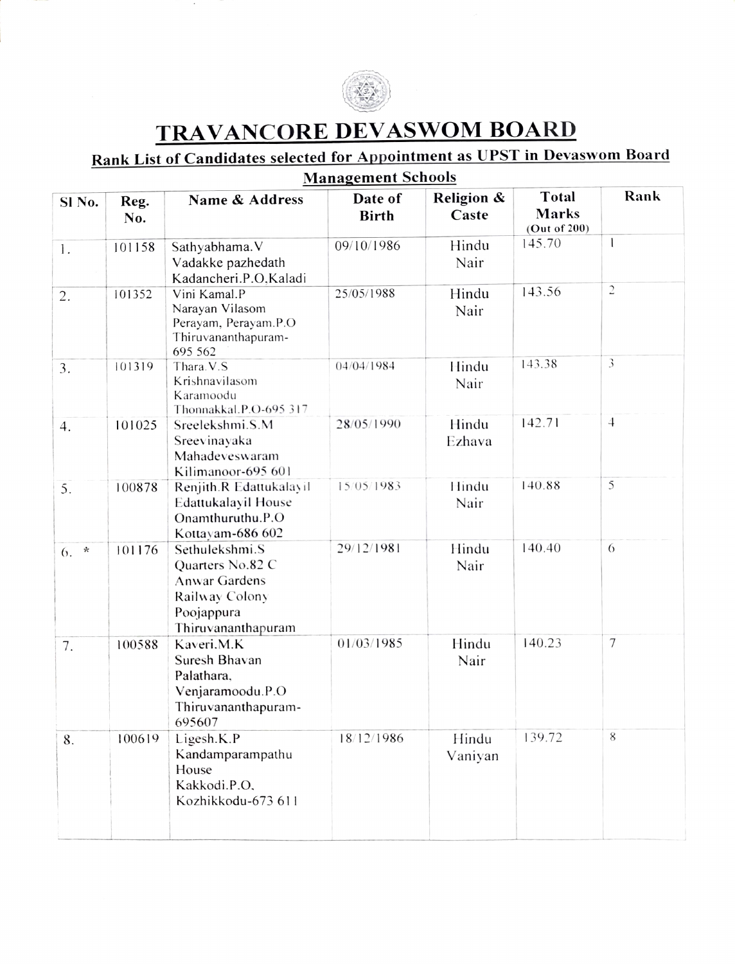

## TRAVANCORE DEVASWOM BOARD

## Rank List of Candidates selected for Appointment as UPST in Devaswom Board Management Schools

| манаgешент эспоріз  |             |                                                                                                                  |                         |                     |                                              |                |  |
|---------------------|-------------|------------------------------------------------------------------------------------------------------------------|-------------------------|---------------------|----------------------------------------------|----------------|--|
| Sl No.              | Reg.<br>No. | Name & Address                                                                                                   | Date of<br><b>Birth</b> | Religion &<br>Caste | <b>Total</b><br><b>Marks</b><br>(Out of 200) | Rank           |  |
| 1.                  | 101158      | Sathyabhama. V<br>Vadakke pazhedath<br>Kadancheri.P.O, Kaladi                                                    | 09/10/1986              | Hindu<br>Nair       | 145.70                                       | $\mathbf{I}$   |  |
| 2.                  | 101352      | Vini Kamal.P<br>Narayan Vilasom<br>Perayam, Perayam.P.O<br>Thiruvananthapuram-<br>695 562                        | 25/05/1988              | Hindu<br>Nair       | 143.56                                       | $\sqrt{2}$     |  |
| 3.                  | 101319      | Thara. V.S<br>Krishnavilasom<br>Karamoodu<br>Thonnakkal.P.O-695 317                                              | 04/04/1984              | Hindu<br>Nair       | 143.38                                       | $\mathfrak{Z}$ |  |
| 4.                  | 101025      | Sreelekshmi.S.M<br>Sreevinayaka<br>Mahadeveswaram<br>Kilimanoor-695 601                                          | 28/05/1990              | Hindu<br>Ezhava     | 142.71                                       | $\overline{4}$ |  |
| 5.                  | 100878      | Renjith.R Edattukalayil<br>Edattukalayil House<br>Onamthuruthu.P.O<br>Kottayam-686 602                           | 15/05/1983              | Hindu<br>Nair       | 140.88                                       | 5              |  |
| $\mathcal{H}$<br>6. | 101176      | Sethulekshmi.S<br>Quarters No.82 C<br><b>Anwar Gardens</b><br>Railway Colony<br>Poojappura<br>Thiruvananthapuram | 29/12/1981              | Hindu<br>Nair       | 140.40                                       | 6              |  |
| 7.                  | 100588      | Kaveri, M.K.<br>Suresh Bhavan<br>Palathara,<br>Venjaramoodu.P.O<br>Thiruvananthapuram-<br>695607                 | 01/03/1985              | Hindu<br>Nair       | 140.23                                       | 7              |  |
| 8.                  | 100619      | Ligesh.K.P<br>Kandamparampathu<br>House<br>Kakkodi.P.O.<br>Kozhikkodu-673 611                                    | 18/12/1986              | Hindu<br>Vaniyan    | 139.72                                       | 8              |  |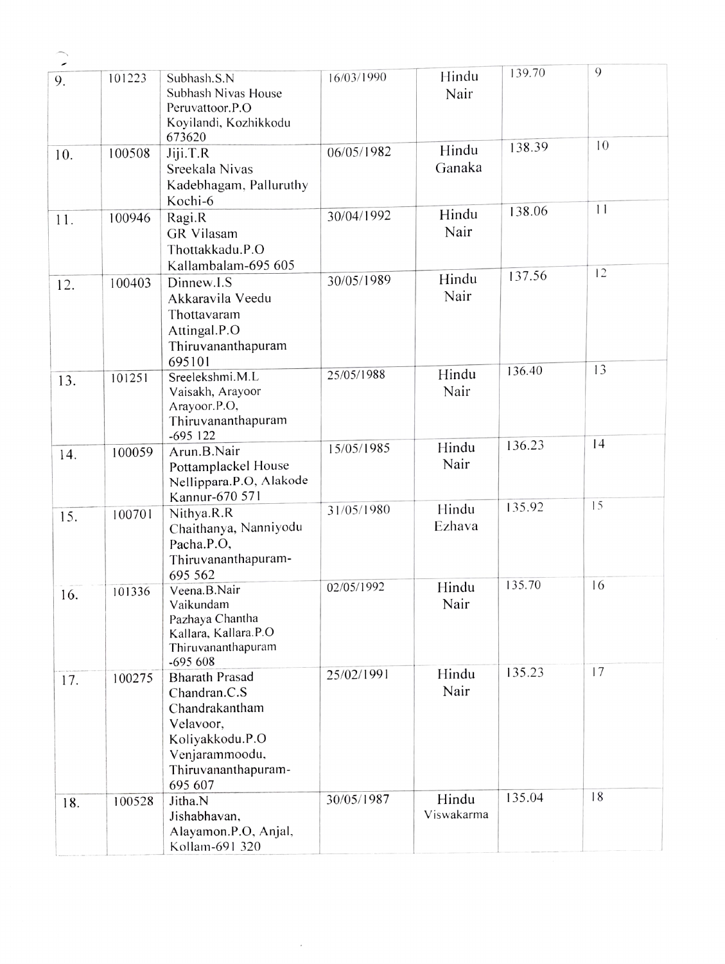| $\overline{\phantom{a}}$ |        |                                                                                                                                             |            |                     |        |    |
|--------------------------|--------|---------------------------------------------------------------------------------------------------------------------------------------------|------------|---------------------|--------|----|
| 9.                       | 101223 | Subhash.S.N<br>Subhash Nivas House<br>Peruvattoor.P.O<br>Koyilandi, Kozhikkodu<br>673620                                                    | 16/03/1990 | Hindu<br>Nair       | 139.70 | 9  |
| 10.                      | 100508 | Jiji.T.R<br>Sreekala Nivas<br>Kadebhagam, Palluruthy<br>Kochi-6                                                                             | 06/05/1982 | Hindu<br>Ganaka     | 138.39 | 10 |
| 11.                      | 100946 | Ragi.R<br>GR Vilasam<br>Thottakkadu.P.O<br>Kallambalam-695 605                                                                              | 30/04/1992 | Hindu<br>Nair       | 138.06 | 11 |
| 12.                      | 100403 | Dinnew.I.S<br>Akkaravila Veedu<br>Thottavaram<br>Attingal.P.O<br>Thiruvananthapuram<br>695101                                               | 30/05/1989 | Hindu<br>Nair       | 137.56 | 12 |
| 13.                      | 101251 | Sreelekshmi.M.L<br>Vaisakh, Arayoor<br>Arayoor.P.O,<br>Thiruvananthapuram<br>$-695$ 122                                                     | 25/05/1988 | Hindu<br>Nair       | 136.40 | 13 |
| 14.                      | 100059 | Arun.B.Nair<br>Pottamplackel House<br>Nellippara.P.O, Alakode<br>Kannur-670 571                                                             | 15/05/1985 | Hindu<br>Nair       | 136.23 | 14 |
| 15.                      | 100701 | Nithya.R.R<br>Chaithanya, Nanniyodu<br>Pacha.P.O,<br>Thiruvananthapuram-<br>695 562                                                         | 31/05/1980 | Hindu<br>Ezhava     | 135.92 | 15 |
| 16.                      | 101336 | Veena.B.Nair<br>Vaikundam<br>Pazhaya Chantha<br>Kallara, Kallara.P.O<br>Thiruvananthapuram<br>$-695608$                                     | 02/05/1992 | Hindu<br>Nair       | 135.70 | 16 |
| 17.                      | 100275 | <b>Bharath Prasad</b><br>Chandran.C.S<br>Chandrakantham<br>Velavoor,<br>Koliyakkodu.P.O<br>Venjarammoodu,<br>Thiruvananthapuram-<br>695 607 | 25/02/1991 | Hindu<br>Nair       | 135.23 | 17 |
| 18.                      | 100528 | Jitha.N<br>Jishabhavan,<br>Alayamon.P.O, Anjal,<br>Kollam-691 320                                                                           | 30/05/1987 | Hindu<br>Viswakarma | 135.04 | 18 |

 $\sim 10^{-10}$ 

 $\overline{\phantom{1}}$